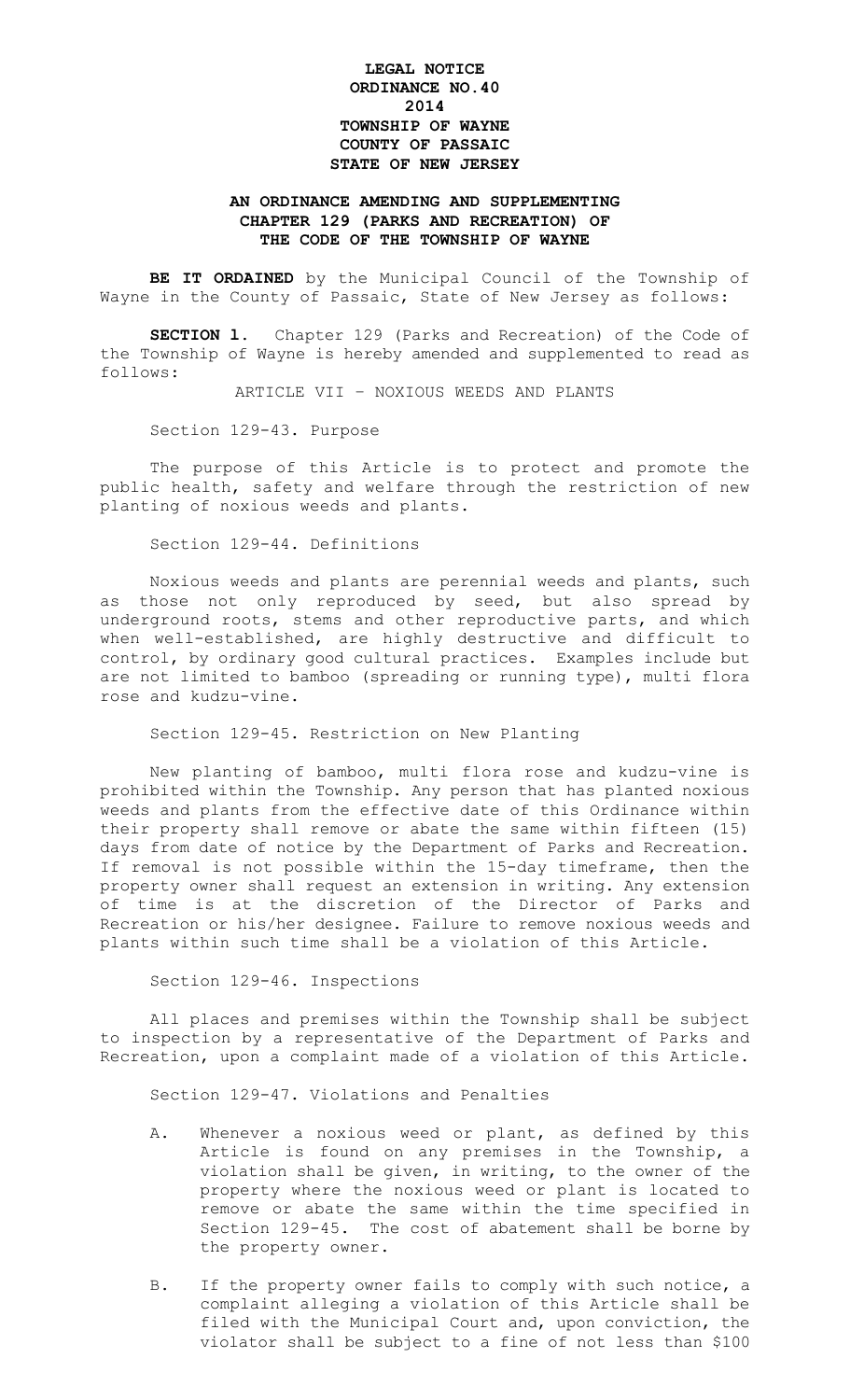## **LEGAL NOTICE ORDINANCE NO.40 2014 TOWNSHIP OF WAYNE COUNTY OF PASSAIC STATE OF NEW JERSEY**

## **AN ORDINANCE AMENDING AND SUPPLEMENTING CHAPTER 129 (PARKS AND RECREATION) OF THE CODE OF THE TOWNSHIP OF WAYNE**

**BE IT ORDAINED** by the Municipal Council of the Township of Wayne in the County of Passaic, State of New Jersey as follows:

**SECTION l.** Chapter 129 (Parks and Recreation) of the Code of the Township of Wayne is hereby amended and supplemented to read as follows:

ARTICLE VII – NOXIOUS WEEDS AND PLANTS

Section 129-43. Purpose

The purpose of this Article is to protect and promote the public health, safety and welfare through the restriction of new planting of noxious weeds and plants.

Section 129-44. Definitions

Noxious weeds and plants are perennial weeds and plants, such as those not only reproduced by seed, but also spread by underground roots, stems and other reproductive parts, and which when well-established, are highly destructive and difficult to control, by ordinary good cultural practices. Examples include but are not limited to bamboo (spreading or running type), multi flora rose and kudzu-vine.

Section 129-45. Restriction on New Planting

New planting of bamboo, multi flora rose and kudzu-vine is prohibited within the Township. Any person that has planted noxious weeds and plants from the effective date of this Ordinance within their property shall remove or abate the same within fifteen (15) days from date of notice by the Department of Parks and Recreation. If removal is not possible within the 15-day timeframe, then the property owner shall request an extension in writing. Any extension of time is at the discretion of the Director of Parks and Recreation or his/her designee. Failure to remove noxious weeds and plants within such time shall be a violation of this Article.

Section 129-46. Inspections

All places and premises within the Township shall be subject to inspection by a representative of the Department of Parks and Recreation, upon a complaint made of a violation of this Article.

Section 129-47. Violations and Penalties

- A. Whenever a noxious weed or plant, as defined by this Article is found on any premises in the Township, a violation shall be given, in writing, to the owner of the property where the noxious weed or plant is located to remove or abate the same within the time specified in Section 129-45. The cost of abatement shall be borne by the property owner.
- B. If the property owner fails to comply with such notice, a complaint alleging a violation of this Article shall be filed with the Municipal Court and, upon conviction, the violator shall be subject to a fine of not less than \$100